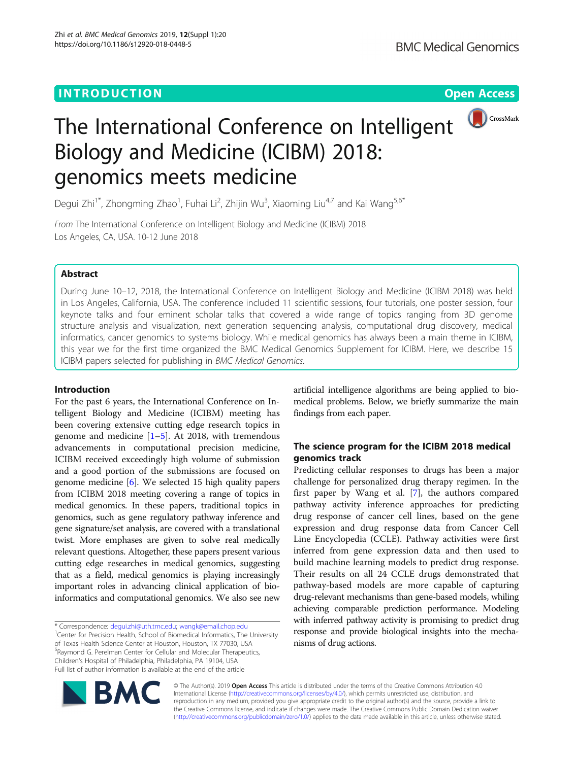## **INTRODUCTION CONSUMING THE OPEN ACCESS**



# The International Conference on Intelligent Biology and Medicine (ICIBM) 2018: genomics meets medicine

Degui Zhi<sup>1\*</sup>, Zhongming Zhao<sup>1</sup>, Fuhai Li<sup>2</sup>, Zhijin Wu<sup>3</sup>, Xiaoming Liu<sup>4,7</sup> and Kai Wang<sup>5,6\*</sup>

From The International Conference on Intelligent Biology and Medicine (ICIBM) 2018 Los Angeles, CA, USA. 10-12 June 2018

## Abstract

During June 10–12, 2018, the International Conference on Intelligent Biology and Medicine (ICIBM 2018) was held in Los Angeles, California, USA. The conference included 11 scientific sessions, four tutorials, one poster session, four keynote talks and four eminent scholar talks that covered a wide range of topics ranging from 3D genome structure analysis and visualization, next generation sequencing analysis, computational drug discovery, medical informatics, cancer genomics to systems biology. While medical genomics has always been a main theme in ICIBM, this year we for the first time organized the BMC Medical Genomics Supplement for ICIBM. Here, we describe 15 ICIBM papers selected for publishing in BMC Medical Genomics.

## Introduction

For the past 6 years, the International Conference on Intelligent Biology and Medicine (ICIBM) meeting has been covering extensive cutting edge research topics in genome and medicine  $[1–5]$  $[1–5]$  $[1–5]$  $[1–5]$  $[1–5]$ . At 2018, with tremendous advancements in computational precision medicine, ICIBM received exceedingly high volume of submission and a good portion of the submissions are focused on genome medicine [\[6](#page-3-0)]. We selected 15 high quality papers from ICIBM 2018 meeting covering a range of topics in medical genomics. In these papers, traditional topics in genomics, such as gene regulatory pathway inference and gene signature/set analysis, are covered with a translational twist. More emphases are given to solve real medically relevant questions. Altogether, these papers present various cutting edge researches in medical genomics, suggesting that as a field, medical genomics is playing increasingly important roles in advancing clinical application of bioinformatics and computational genomics. We also see new

\* Correspondence: [degui.zhi@uth.tmc.edu;](mailto:degui.zhi@uth.tmc.edu) [wangk@email.chop.edu](mailto:wangk@email.chop.edu) <sup>1</sup>

<sup>1</sup> Center for Precision Health, School of Biomedical Informatics, The University of Texas Health Science Center at Houston, Houston, TX 77030, USA <sup>5</sup>Raymond G. Perelman Center for Cellular and Molecular Therapeutics, Children's Hospital of Philadelphia, Philadelphia, PA 19104, USA Full list of author information is available at the end of the article

artificial intelligence algorithms are being applied to biomedical problems. Below, we briefly summarize the main findings from each paper.

## The science program for the ICIBM 2018 medical genomics track

Predicting cellular responses to drugs has been a major challenge for personalized drug therapy regimen. In the first paper by Wang et al. [[7](#page-3-0)], the authors compared pathway activity inference approaches for predicting drug response of cancer cell lines, based on the gene expression and drug response data from Cancer Cell Line Encyclopedia (CCLE). Pathway activities were first inferred from gene expression data and then used to build machine learning models to predict drug response. Their results on all 24 CCLE drugs demonstrated that pathway-based models are more capable of capturing drug-relevant mechanisms than gene-based models, whiling achieving comparable prediction performance. Modeling with inferred pathway activity is promising to predict drug response and provide biological insights into the mechanisms of drug actions.



© The Author(s). 2019 **Open Access** This article is distributed under the terms of the Creative Commons Attribution 4.0 International License [\(http://creativecommons.org/licenses/by/4.0/](http://creativecommons.org/licenses/by/4.0/)), which permits unrestricted use, distribution, and reproduction in any medium, provided you give appropriate credit to the original author(s) and the source, provide a link to the Creative Commons license, and indicate if changes were made. The Creative Commons Public Domain Dedication waiver [\(http://creativecommons.org/publicdomain/zero/1.0/](http://creativecommons.org/publicdomain/zero/1.0/)) applies to the data made available in this article, unless otherwise stated.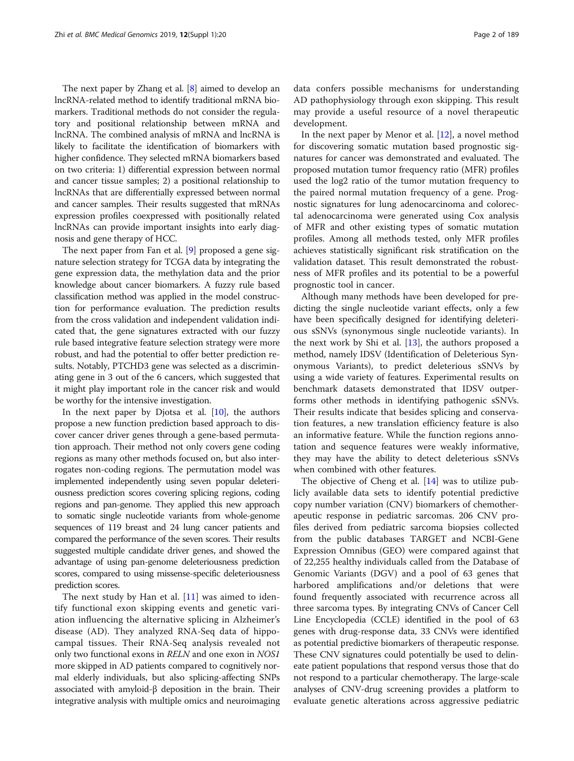The next paper by Zhang et al. [\[8\]](#page-3-0) aimed to develop an lncRNA-related method to identify traditional mRNA biomarkers. Traditional methods do not consider the regulatory and positional relationship between mRNA and lncRNA. The combined analysis of mRNA and lncRNA is likely to facilitate the identification of biomarkers with higher confidence. They selected mRNA biomarkers based on two criteria: 1) differential expression between normal and cancer tissue samples; 2) a positional relationship to lncRNAs that are differentially expressed between normal and cancer samples. Their results suggested that mRNAs expression profiles coexpressed with positionally related lncRNAs can provide important insights into early diagnosis and gene therapy of HCC.

The next paper from Fan et al. [[9\]](#page-3-0) proposed a gene signature selection strategy for TCGA data by integrating the gene expression data, the methylation data and the prior knowledge about cancer biomarkers. A fuzzy rule based classification method was applied in the model construction for performance evaluation. The prediction results from the cross validation and independent validation indicated that, the gene signatures extracted with our fuzzy rule based integrative feature selection strategy were more robust, and had the potential to offer better prediction results. Notably, PTCHD3 gene was selected as a discriminating gene in 3 out of the 6 cancers, which suggested that it might play important role in the cancer risk and would be worthy for the intensive investigation.

In the next paper by Djotsa et al. [\[10\]](#page-3-0), the authors propose a new function prediction based approach to discover cancer driver genes through a gene-based permutation approach. Their method not only covers gene coding regions as many other methods focused on, but also interrogates non-coding regions. The permutation model was implemented independently using seven popular deleteriousness prediction scores covering splicing regions, coding regions and pan-genome. They applied this new approach to somatic single nucleotide variants from whole-genome sequences of 119 breast and 24 lung cancer patients and compared the performance of the seven scores. Their results suggested multiple candidate driver genes, and showed the advantage of using pan-genome deleteriousness prediction scores, compared to using missense-specific deleteriousness prediction scores.

The next study by Han et al. [\[11](#page-3-0)] was aimed to identify functional exon skipping events and genetic variation influencing the alternative splicing in Alzheimer's disease (AD). They analyzed RNA-Seq data of hippocampal tissues. Their RNA-Seq analysis revealed not only two functional exons in RELN and one exon in NOS1 more skipped in AD patients compared to cognitively normal elderly individuals, but also splicing-affecting SNPs associated with amyloid-β deposition in the brain. Their integrative analysis with multiple omics and neuroimaging

data confers possible mechanisms for understanding AD pathophysiology through exon skipping. This result may provide a useful resource of a novel therapeutic development.

In the next paper by Menor et al. [\[12](#page-3-0)], a novel method for discovering somatic mutation based prognostic signatures for cancer was demonstrated and evaluated. The proposed mutation tumor frequency ratio (MFR) profiles used the log2 ratio of the tumor mutation frequency to the paired normal mutation frequency of a gene. Prognostic signatures for lung adenocarcinoma and colorectal adenocarcinoma were generated using Cox analysis of MFR and other existing types of somatic mutation profiles. Among all methods tested, only MFR profiles achieves statistically significant risk stratification on the validation dataset. This result demonstrated the robustness of MFR profiles and its potential to be a powerful prognostic tool in cancer.

Although many methods have been developed for predicting the single nucleotide variant effects, only a few have been specifically designed for identifying deleterious sSNVs (synonymous single nucleotide variants). In the next work by Shi et al.  $[13]$  $[13]$ , the authors proposed a method, namely IDSV (Identification of Deleterious Synonymous Variants), to predict deleterious sSNVs by using a wide variety of features. Experimental results on benchmark datasets demonstrated that IDSV outperforms other methods in identifying pathogenic sSNVs. Their results indicate that besides splicing and conservation features, a new translation efficiency feature is also an informative feature. While the function regions annotation and sequence features were weakly informative, they may have the ability to detect deleterious sSNVs when combined with other features.

The objective of Cheng et al. [[14](#page-3-0)] was to utilize publicly available data sets to identify potential predictive copy number variation (CNV) biomarkers of chemotherapeutic response in pediatric sarcomas. 206 CNV profiles derived from pediatric sarcoma biopsies collected from the public databases TARGET and NCBI-Gene Expression Omnibus (GEO) were compared against that of 22,255 healthy individuals called from the Database of Genomic Variants (DGV) and a pool of 63 genes that harbored amplifications and/or deletions that were found frequently associated with recurrence across all three sarcoma types. By integrating CNVs of Cancer Cell Line Encyclopedia (CCLE) identified in the pool of 63 genes with drug-response data, 33 CNVs were identified as potential predictive biomarkers of therapeutic response. These CNV signatures could potentially be used to delineate patient populations that respond versus those that do not respond to a particular chemotherapy. The large-scale analyses of CNV-drug screening provides a platform to evaluate genetic alterations across aggressive pediatric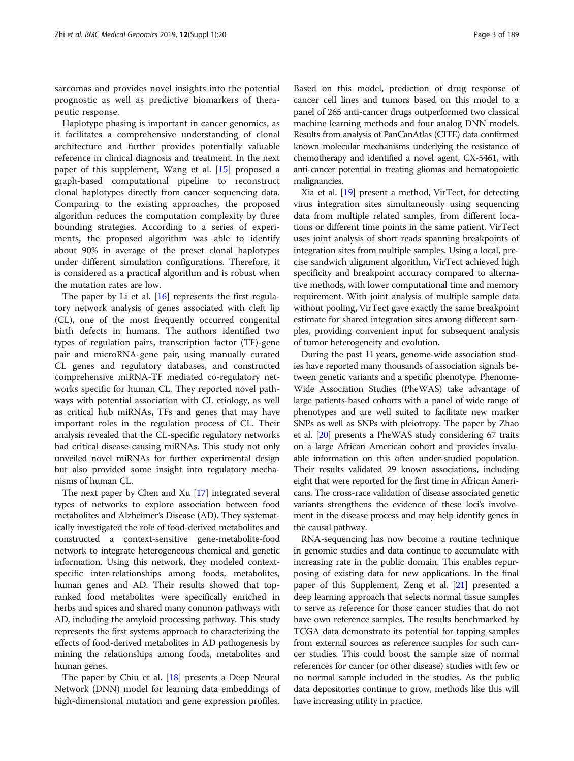sarcomas and provides novel insights into the potential prognostic as well as predictive biomarkers of therapeutic response.

Haplotype phasing is important in cancer genomics, as it facilitates a comprehensive understanding of clonal architecture and further provides potentially valuable reference in clinical diagnosis and treatment. In the next paper of this supplement, Wang et al. [[15\]](#page-3-0) proposed a graph-based computational pipeline to reconstruct clonal haplotypes directly from cancer sequencing data. Comparing to the existing approaches, the proposed algorithm reduces the computation complexity by three bounding strategies. According to a series of experiments, the proposed algorithm was able to identify about 90% in average of the preset clonal haplotypes under different simulation configurations. Therefore, it is considered as a practical algorithm and is robust when the mutation rates are low.

The paper by Li et al. [\[16](#page-3-0)] represents the first regulatory network analysis of genes associated with cleft lip (CL), one of the most frequently occurred congenital birth defects in humans. The authors identified two types of regulation pairs, transcription factor (TF)-gene pair and microRNA-gene pair, using manually curated CL genes and regulatory databases, and constructed comprehensive miRNA-TF mediated co-regulatory networks specific for human CL. They reported novel pathways with potential association with CL etiology, as well as critical hub miRNAs, TFs and genes that may have important roles in the regulation process of CL. Their analysis revealed that the CL-specific regulatory networks had critical disease-causing miRNAs. This study not only unveiled novel miRNAs for further experimental design but also provided some insight into regulatory mechanisms of human CL.

The next paper by Chen and Xu [\[17\]](#page-3-0) integrated several types of networks to explore association between food metabolites and Alzheimer's Disease (AD). They systematically investigated the role of food-derived metabolites and constructed a context-sensitive gene-metabolite-food network to integrate heterogeneous chemical and genetic information. Using this network, they modeled contextspecific inter-relationships among foods, metabolites, human genes and AD. Their results showed that topranked food metabolites were specifically enriched in herbs and spices and shared many common pathways with AD, including the amyloid processing pathway. This study represents the first systems approach to characterizing the effects of food-derived metabolites in AD pathogenesis by mining the relationships among foods, metabolites and human genes.

The paper by Chiu et al. [\[18](#page-3-0)] presents a Deep Neural Network (DNN) model for learning data embeddings of high-dimensional mutation and gene expression profiles.

Based on this model, prediction of drug response of cancer cell lines and tumors based on this model to a panel of 265 anti-cancer drugs outperformed two classical machine learning methods and four analog DNN models. Results from analysis of PanCanAtlas (CITE) data confirmed known molecular mechanisms underlying the resistance of chemotherapy and identified a novel agent, CX-5461, with anti-cancer potential in treating gliomas and hematopoietic malignancies.

Xia et al. [\[19](#page-3-0)] present a method, VirTect, for detecting virus integration sites simultaneously using sequencing data from multiple related samples, from different locations or different time points in the same patient. VirTect uses joint analysis of short reads spanning breakpoints of integration sites from multiple samples. Using a local, precise sandwich alignment algorithm, VirTect achieved high specificity and breakpoint accuracy compared to alternative methods, with lower computational time and memory requirement. With joint analysis of multiple sample data without pooling, VirTect gave exactly the same breakpoint estimate for shared integration sites among different samples, providing convenient input for subsequent analysis of tumor heterogeneity and evolution.

During the past 11 years, genome-wide association studies have reported many thousands of association signals between genetic variants and a specific phenotype. Phenome-Wide Association Studies (PheWAS) take advantage of large patients-based cohorts with a panel of wide range of phenotypes and are well suited to facilitate new marker SNPs as well as SNPs with pleiotropy. The paper by Zhao et al. [\[20](#page-3-0)] presents a PheWAS study considering 67 traits on a large African American cohort and provides invaluable information on this often under-studied population. Their results validated 29 known associations, including eight that were reported for the first time in African Americans. The cross-race validation of disease associated genetic variants strengthens the evidence of these loci's involvement in the disease process and may help identify genes in the causal pathway.

RNA-sequencing has now become a routine technique in genomic studies and data continue to accumulate with increasing rate in the public domain. This enables repurposing of existing data for new applications. In the final paper of this Supplement, Zeng et al. [\[21\]](#page-3-0) presented a deep learning approach that selects normal tissue samples to serve as reference for those cancer studies that do not have own reference samples. The results benchmarked by TCGA data demonstrate its potential for tapping samples from external sources as reference samples for such cancer studies. This could boost the sample size of normal references for cancer (or other disease) studies with few or no normal sample included in the studies. As the public data depositories continue to grow, methods like this will have increasing utility in practice.